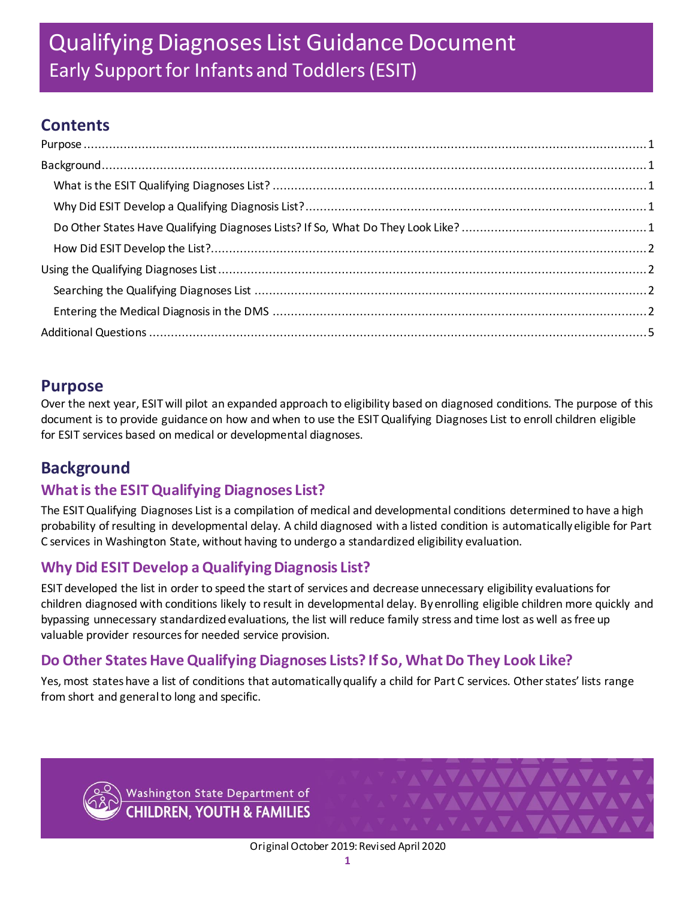# **Contents**

# <span id="page-0-0"></span>**Purpose**

Over the next year, ESIT will pilot an expanded approach to eligibility based on diagnosed conditions. The purpose of this document is to provide guidance on how and when to use the ESIT Qualifying Diagnoses List to enroll children eligible for ESIT services based on medical or developmental diagnoses.

# <span id="page-0-1"></span>**Background**

## <span id="page-0-2"></span>**What is the ESIT Qualifying Diagnoses List?**

The ESIT Qualifying Diagnoses List is a compilation of medical and developmental conditions determined to have a high probability of resulting in developmental delay. A child diagnosed with a listed condition is automatically eligible for Part C services in Washington State, without having to undergo a standardized eligibility evaluation.

# <span id="page-0-3"></span>**Why Did ESIT Develop a Qualifying Diagnosis List?**

ESIT developed the list in order to speed the start of services and decrease unnecessary eligibility evaluations for children diagnosed with conditions likely to result in developmental delay. By enrolling eligible children more quickly and bypassing unnecessary standardized evaluations, the list will reduce family stress and time lost as well as free up valuable provider resources for needed service provision.

## <span id="page-0-4"></span>**Do Other States Have Qualifying Diagnoses Lists? If So, What Do They Look Like?**

Yes, most stateshave a list of conditions that automatically qualify a child for Part C services. Other states' lists range from short and general to long and specific.



Washington State Department of **CHILDREN, YOUTH & FAMILIES**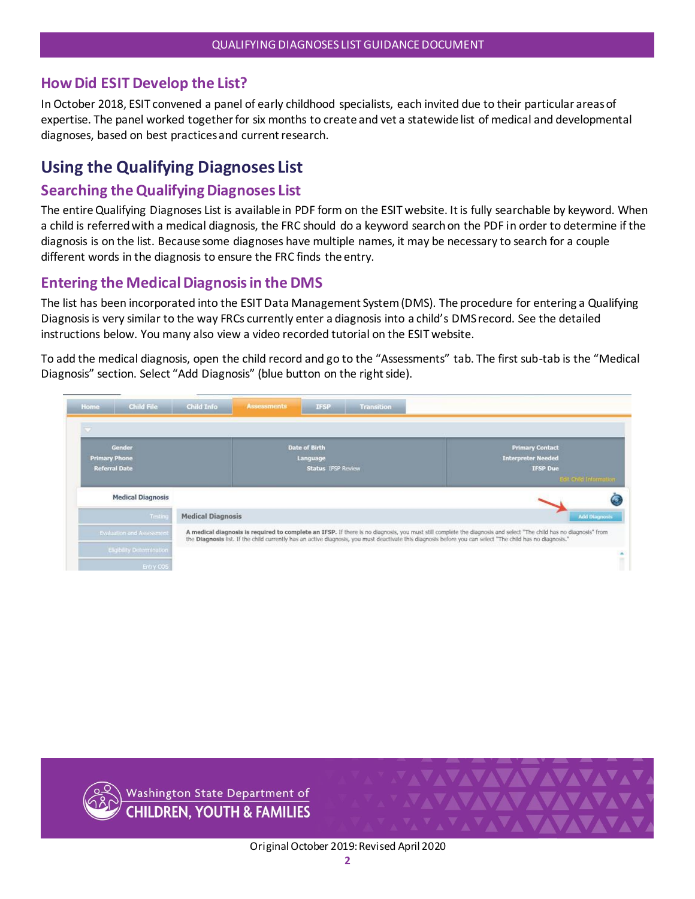### <span id="page-1-0"></span>**How Did ESIT Develop the List?**

In October 2018, ESIT convened a panel of early childhood specialists, each invited due to their particular areas of expertise. The panel worked together for six months to create and vet a statewide list of medical and developmental diagnoses, based on best practices and current research.

# <span id="page-1-1"></span>**Using the Qualifying Diagnoses List**

### <span id="page-1-2"></span>**Searching the Qualifying Diagnoses List**

The entire Qualifying Diagnoses List is available in PDF form on the ESIT website. It is fully searchable by keyword. When a child is referred with a medical diagnosis, the FRC should do a keyword search on the PDF in order to determine if the diagnosis is on the list. Because some diagnoses have multiple names, it may be necessary to search for a couple different words in the diagnosis to ensure the FRC finds the entry.

### <span id="page-1-3"></span>**Entering the Medical Diagnosis in the DMS**

The list has been incorporated into the ESIT Data Management System (DMS). The procedure for entering a Qualifying Diagnosis is very similar to the way FRCs currently enter a diagnosis into a child's DMS record. See the detailed instructions below. You many also view a video recorded tutorial on the ESIT website.

To add the medical diagnosis, open the child record and go to the "Assessments" tab. The first sub-tab is the "Medical Diagnosis" section. Select "Add Diagnosis" (blue button on the right side).

| Home                                         | Child File                       | Child Info               | <b>Assessments</b> | <b>Transition</b><br><b>IFSP</b>                              |                                                                                                                                                                                                                                                                                                                                 |
|----------------------------------------------|----------------------------------|--------------------------|--------------------|---------------------------------------------------------------|---------------------------------------------------------------------------------------------------------------------------------------------------------------------------------------------------------------------------------------------------------------------------------------------------------------------------------|
| $\overline{\phantom{a}}$                     |                                  |                          |                    |                                                               |                                                                                                                                                                                                                                                                                                                                 |
| <b>Primary Phone</b><br><b>Referral Date</b> | Gender                           |                          |                    | <b>Date of Birth</b><br>Language<br><b>Status IFSP Review</b> | <b>Primary Contact</b><br><b>Interpreter Needed</b><br><b>IFSP Due</b><br><b>Edit Critic Information</b>                                                                                                                                                                                                                        |
|                                              | <b>Medical Diagnosis</b>         |                          |                    |                                                               |                                                                                                                                                                                                                                                                                                                                 |
|                                              | Testing                          | <b>Medical Diagnosis</b> |                    |                                                               | <b>Add Diagnosis</b>                                                                                                                                                                                                                                                                                                            |
|                                              | Evaluation and Assessment        |                          |                    |                                                               | A medical diagnosis is required to complete an IFSP. If there is no diagnosis, you must still complete the diagnosis and select "The child has no diagnosis" from<br>the Diagnosis list. If the child currently has an active diagnosis, you must deactivate this diagnosis before you can select "The child has no diagnosis." |
|                                              | <b>Eligibility Determination</b> |                          |                    |                                                               | Î                                                                                                                                                                                                                                                                                                                               |
|                                              | Entry COS                        |                          |                    |                                                               |                                                                                                                                                                                                                                                                                                                                 |

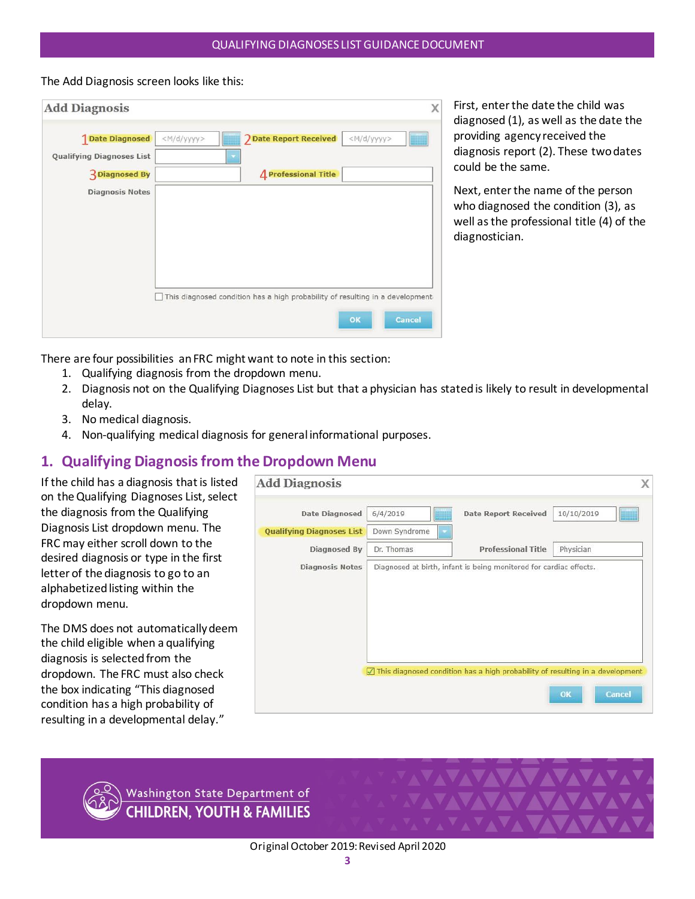The Add Diagnosis screen looks like this:

| <b>Date Diagnosed</b>                                     | $<$ M/d/yyyy> | <b>J</b> Date Report Received | <m d="" yyyy=""></m>                                                          |  |
|-----------------------------------------------------------|---------------|-------------------------------|-------------------------------------------------------------------------------|--|
| <b>Qualifying Diagnoses List</b><br><b>3</b> Diagnosed By |               | <b>4</b> Professional Title   |                                                                               |  |
| <b>Diagnosis Notes</b>                                    |               |                               |                                                                               |  |
|                                                           |               |                               |                                                                               |  |
|                                                           |               |                               |                                                                               |  |
|                                                           |               |                               |                                                                               |  |
|                                                           |               |                               |                                                                               |  |
|                                                           |               |                               | This diagnosed condition has a high probability of resulting in a development |  |

First, enter the date the child was diagnosed (1), as well as the date the providing agency received the diagnosis report (2). These two dates could be the same.

Next, enter the name of the person who diagnosed the condition (3), as well as the professional title (4) of the diagnostician.

There are four possibilities an FRC might want to note in this section:

- 1. Qualifying diagnosis from the dropdown menu.
- 2. Diagnosis not on the Qualifying Diagnoses List but that a physician has stated is likely to result in developmental delay.
- 3. No medical diagnosis.
- 4. Non-qualifying medical diagnosis for general informational purposes.

### **1. Qualifying Diagnosis from the Dropdown Menu**

If the child has a diagnosis that is listed on the Qualifying Diagnoses List, select the diagnosis from the Qualifying Diagnosis List dropdown menu. The FRC may either scroll down to the desired diagnosis or type in the first letter of the diagnosis to go to an alphabetized listing within the dropdown menu.

The DMS does not automatically deem the child eligible when a qualifying diagnosis is selected from the dropdown. The FRC must also check the box indicating "This diagnosed condition has a high probability of resulting in a developmental delay."



Washington State Department of **CHILDREN, YOUTH & FAMILIES**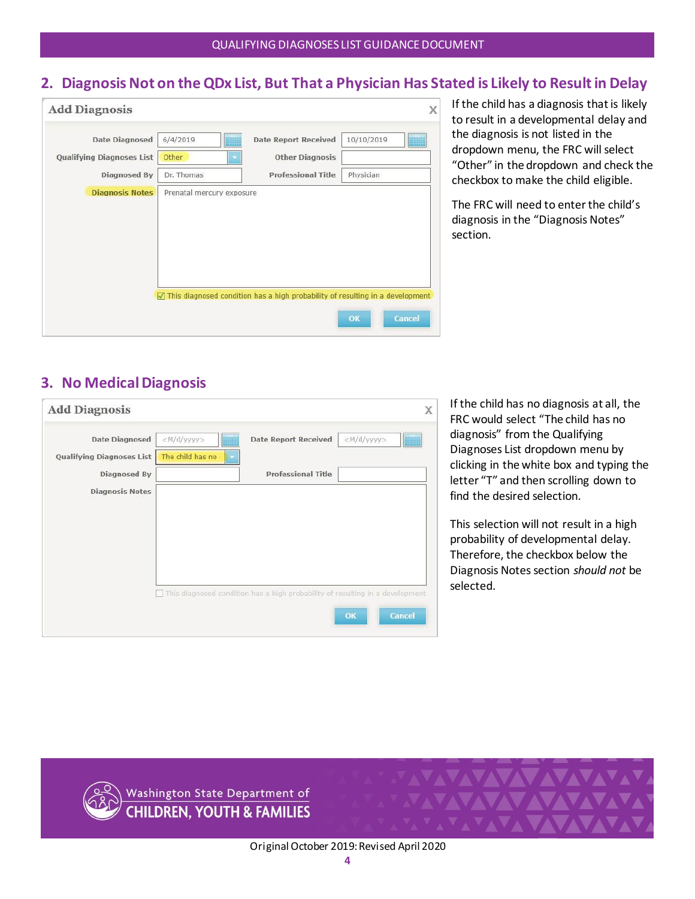### **2. DiagnosisNot on the QDx List, But That a Physician Has Stated is Likely to Result in Delay**

| <b>Date Diagnosed</b>     | 6/4/2019   | <b>Date Report Received</b> | 10/10/2019 |
|---------------------------|------------|-----------------------------|------------|
| Qualifying Diagnoses List | Other      | <b>Other Diagnosis</b>      |            |
| Diagnosed By              | Dr. Thomas | <b>Professional Title</b>   | Physician  |
|                           |            |                             |            |

If the child has a diagnosis that is likely to result in a developmental delay and the diagnosis is not listed in the dropdown menu, the FRC will select "Other" in the dropdown and check the checkbox to make the child eligible.

The FRC will need to enter the child's diagnosis in the "Diagnosis Notes" section.

## **3. No Medical Diagnosis**

| <b>Add Diagnosis</b>                               |                                           |                             | X                                                                             |
|----------------------------------------------------|-------------------------------------------|-----------------------------|-------------------------------------------------------------------------------|
| <b>Date Diagnosed</b><br>Qualifying Diagnoses List | <m d="" yyyy=""><br/>The child has no</m> | <b>Date Report Received</b> | <m d="" yyyy=""></m>                                                          |
| Diagnosed By                                       |                                           | <b>Professional Title</b>   |                                                                               |
| <b>Diagnosis Notes</b>                             |                                           |                             |                                                                               |
|                                                    |                                           |                             |                                                                               |
|                                                    |                                           |                             |                                                                               |
|                                                    |                                           |                             |                                                                               |
|                                                    |                                           |                             | This diagnosed condition has a high probability of resulting in a development |
|                                                    |                                           |                             | Cancel<br>OK                                                                  |

If the child has no diagnosis at all, the FRC would select "The child has no diagnosis" from the Qualifying Diagnoses List dropdown menu by clicking in the white box and typing the letter "T" and then scrolling down to find the desired selection.

This selection will not result in a high probability of developmental delay. Therefore, the checkbox below the Diagnosis Notes section *should not* be selected.

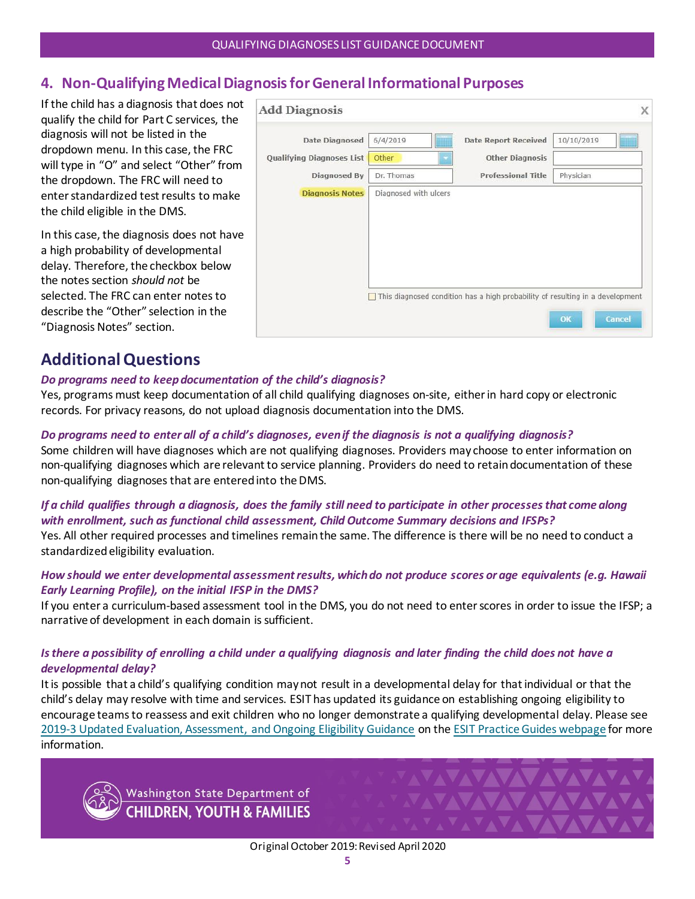### **4. Non-Qualifying Medical Diagnosis for General Informational Purposes**

If the child has a diagnosis that does not qualify the child for Part C services, the diagnosis will not be listed in the dropdown menu. In this case, the FRC will type in "O" and select "Other" from the dropdown. The FRC will need to enter standardized test results to make the child eligible in the DMS.

In this case, the diagnosis does not have a high probability of developmental delay. Therefore, the checkbox below the notes section *should not* be selected. The FRC can enter notes to describe the "Other" selection in the "Diagnosis Notes" section.

| <b>Date Diagnosed</b>     | 6/4/2019   | <b>Date Report Received</b> | 10/10/2019 |
|---------------------------|------------|-----------------------------|------------|
| Qualifying Diagnoses List | Other      | <b>Other Diagnosis</b>      |            |
| Diagnosed By              | Dr. Thomas | <b>Professional Title</b>   | Physician  |
|                           |            |                             |            |
|                           |            |                             |            |

## <span id="page-4-0"></span>**Additional Questions**

#### *Do programs need to keep documentation of the child's diagnosis?*

Yes, programs must keep documentation of all child qualifying diagnoses on-site, either in hard copy or electronic records. For privacy reasons, do not upload diagnosis documentation into the DMS.

#### *Do programs need to enter all of a child's diagnoses, even if the diagnosis is not a qualifying diagnosis?*

Some children will have diagnoses which are not qualifying diagnoses. Providers may choose to enter information on non-qualifying diagnoses which are relevant to service planning. Providers do need to retain documentation of these non-qualifying diagnoses that are entered into the DMS.

### *If a child qualifies through a diagnosis, does the family still need to participate in other processes that come along with enrollment, such as functional child assessment, Child Outcome Summary decisions and IFSPs?*

Yes. All other required processes and timelines remain the same. The difference is there will be no need to conduct a standardized eligibility evaluation.

#### *How should we enter developmental assessment results, which do not produce scores or age equivalents (e.g. Hawaii Early Learning Profile), on the initial IFSP in the DMS?*

If you enter a curriculum-based assessment tool in the DMS, you do not need to enter scores in order to issue the IFSP; a narrative of development in each domain is sufficient.

#### *Is there a possibility of enrolling a child under a qualifying diagnosis and later finding the child does not have a developmental delay?*

It is possible that a child's qualifying condition may not result in a developmental delay for that individual or that the child's delay may resolve with time and services. ESIT has updated its guidance on establishing ongoing eligibility to encourage teams to reassess and exit children who no longer demonstrate a qualifying developmental delay. Please see [2019-3 Updated Evaluation, Assessment, and Ongoing Eligibility Guidance](https://www.dcyf.wa.gov/sites/default/files/pdf/esit/2019-3EvalAssess-OngoingEligibility.pdf) on th[e ESIT Practice Guides webpage](https://www.dcyf.wa.gov/services/child-dev-support-providers/esit/practice-guides) for more information.



Washington State Department of **CHILDREN. YOUTH & FAMILIES**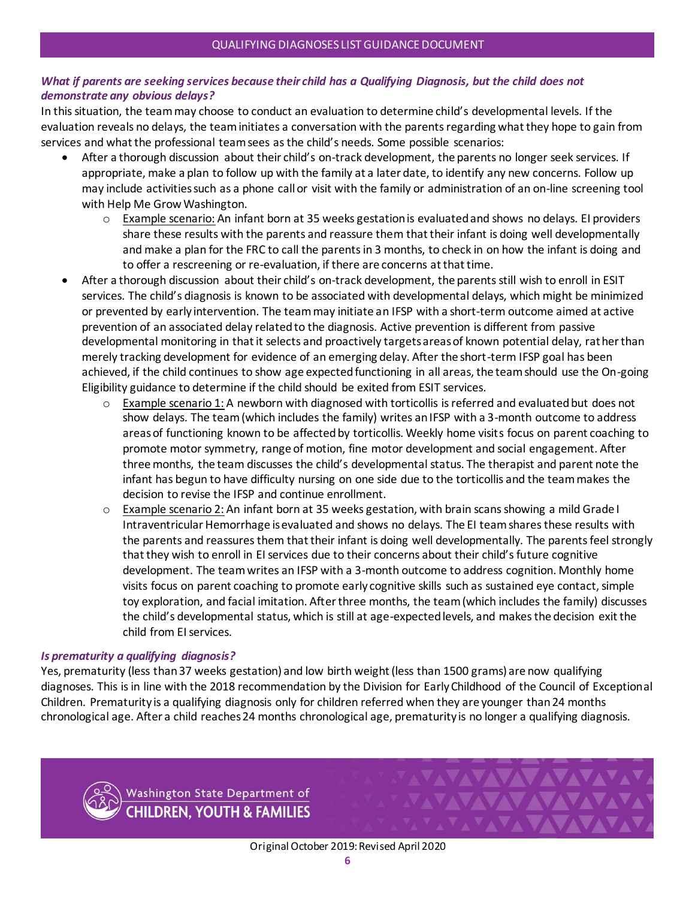#### *What if parents are seeking services because their child has a Qualifying Diagnosis, but the child does not demonstrate any obvious delays?*

In this situation, the team may choose to conduct an evaluation to determine child's developmental levels. If the evaluation reveals no delays, the team initiates a conversation with the parents regarding what they hope to gain from services and what the professional team sees as the child's needs. Some possible scenarios:

- After a thorough discussion about their child's on-track development, the parents no longer seek services. If appropriate, make a plan to follow up with the family at a later date, to identify any new concerns. Follow up may include activities such as a phone call or visit with the family or administration of an on-line screening tool with Help Me Grow Washington.
	- o Example scenario: An infant born at 35 weeks gestation is evaluated and shows no delays. EI providers share these results with the parents and reassure them that their infant is doing well developmentally and make a plan for the FRC to call the parents in 3 months, to check in on how the infant is doing and to offer a rescreening or re-evaluation, if there are concerns at that time.
- After a thorough discussion about their child's on-track development, the parents still wish to enroll in ESIT services. The child's diagnosis is known to be associated with developmental delays, which might be minimized or prevented by early intervention. The team may initiate an IFSP with a short-term outcome aimed at active prevention of an associated delay related to the diagnosis. Active prevention is different from passive developmental monitoring in that it selects and proactively targets areas of known potential delay, rather than merely tracking development for evidence of an emerging delay. After the short-term IFSP goal has been achieved, if the child continues to show age expected functioning in all areas, the team should use the On-going Eligibility guidance to determine if the child should be exited from ESIT services.
	- $\circ$  Example scenario 1: A newborn with diagnosed with torticollis is referred and evaluated but does not show delays. The team (which includes the family) writes an IFSP with a 3-month outcome to address areas of functioning known to be affected by torticollis. Weekly home visits focus on parent coaching to promote motor symmetry, range of motion, fine motor development and social engagement. After three months, the team discusses the child's developmental status. The therapist and parent note the infant has begun to have difficulty nursing on one side due to the torticollis and the team makes the decision to revise the IFSP and continue enrollment.
	- o Example scenario 2: An infant born at 35 weeks gestation, with brain scans showing a mild Grade I Intraventricular Hemorrhage is evaluated and shows no delays. The EI team shares these results with the parents and reassures them that their infant is doing well developmentally. The parents feel strongly that they wish to enroll in EI services due to their concerns about their child's future cognitive development. The team writes an IFSP with a 3-month outcome to address cognition. Monthly home visits focus on parent coaching to promote early cognitive skills such as sustained eye contact, simple toy exploration, and facial imitation. After three months, the team (which includes the family) discusses the child's developmental status, which is still at age-expected levels, and makes the decision exit the child from EI services.

#### *Is prematurity a qualifying diagnosis?*

Yes, prematurity (less than 37 weeks gestation) and low birth weight (less than 1500 grams) are now qualifying diagnoses. This is in line with the 2018 recommendation by the Division for Early Childhood of the Council of Exceptional Children. Prematurity is a qualifying diagnosis only for children referred when they are younger than 24 months chronological age. After a child reaches 24 months chronological age, prematurity is no longer a qualifying diagnosis.

> Washington State Department of **CHILDREN. YOUTH & FAMILIES**

VVVVV